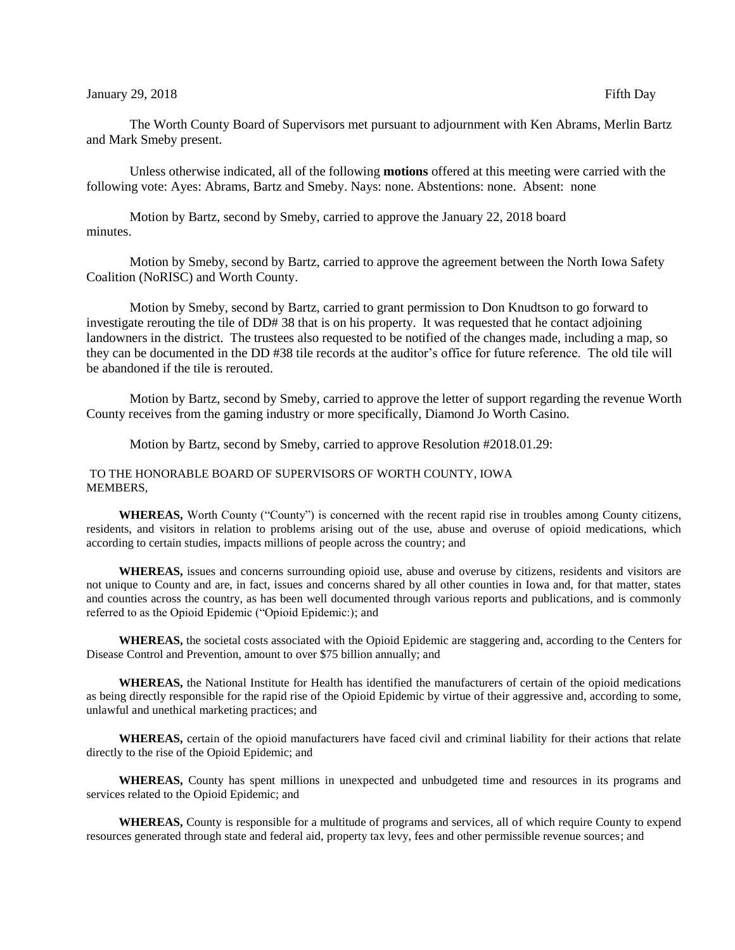## January 29, 2018 **Fifth Day**

The Worth County Board of Supervisors met pursuant to adjournment with Ken Abrams, Merlin Bartz and Mark Smeby present.

Unless otherwise indicated, all of the following **motions** offered at this meeting were carried with the following vote: Ayes: Abrams, Bartz and Smeby. Nays: none. Abstentions: none. Absent: none

Motion by Bartz, second by Smeby, carried to approve the January 22, 2018 board minutes.

Motion by Smeby, second by Bartz, carried to approve the agreement between the North Iowa Safety Coalition (NoRISC) and Worth County.

Motion by Smeby, second by Bartz, carried to grant permission to Don Knudtson to go forward to investigate rerouting the tile of DD# 38 that is on his property. It was requested that he contact adjoining landowners in the district. The trustees also requested to be notified of the changes made, including a map, so they can be documented in the DD #38 tile records at the auditor's office for future reference. The old tile will be abandoned if the tile is rerouted.

Motion by Bartz, second by Smeby, carried to approve the letter of support regarding the revenue Worth County receives from the gaming industry or more specifically, Diamond Jo Worth Casino.

Motion by Bartz, second by Smeby, carried to approve Resolution #2018.01.29:

TO THE HONORABLE BOARD OF SUPERVISORS OF WORTH COUNTY, IOWA MEMBERS,

**WHEREAS,** Worth County ("County") is concerned with the recent rapid rise in troubles among County citizens, residents, and visitors in relation to problems arising out of the use, abuse and overuse of opioid medications, which according to certain studies, impacts millions of people across the country; and

**WHEREAS,** issues and concerns surrounding opioid use, abuse and overuse by citizens, residents and visitors are not unique to County and are, in fact, issues and concerns shared by all other counties in Iowa and, for that matter, states and counties across the country, as has been well documented through various reports and publications, and is commonly referred to as the Opioid Epidemic ("Opioid Epidemic:); and

**WHEREAS,** the societal costs associated with the Opioid Epidemic are staggering and, according to the Centers for Disease Control and Prevention, amount to over \$75 billion annually; and

**WHEREAS,** the National Institute for Health has identified the manufacturers of certain of the opioid medications as being directly responsible for the rapid rise of the Opioid Epidemic by virtue of their aggressive and, according to some, unlawful and unethical marketing practices; and

**WHEREAS,** certain of the opioid manufacturers have faced civil and criminal liability for their actions that relate directly to the rise of the Opioid Epidemic; and

**WHEREAS,** County has spent millions in unexpected and unbudgeted time and resources in its programs and services related to the Opioid Epidemic; and

**WHEREAS,** County is responsible for a multitude of programs and services, all of which require County to expend resources generated through state and federal aid, property tax levy, fees and other permissible revenue sources; and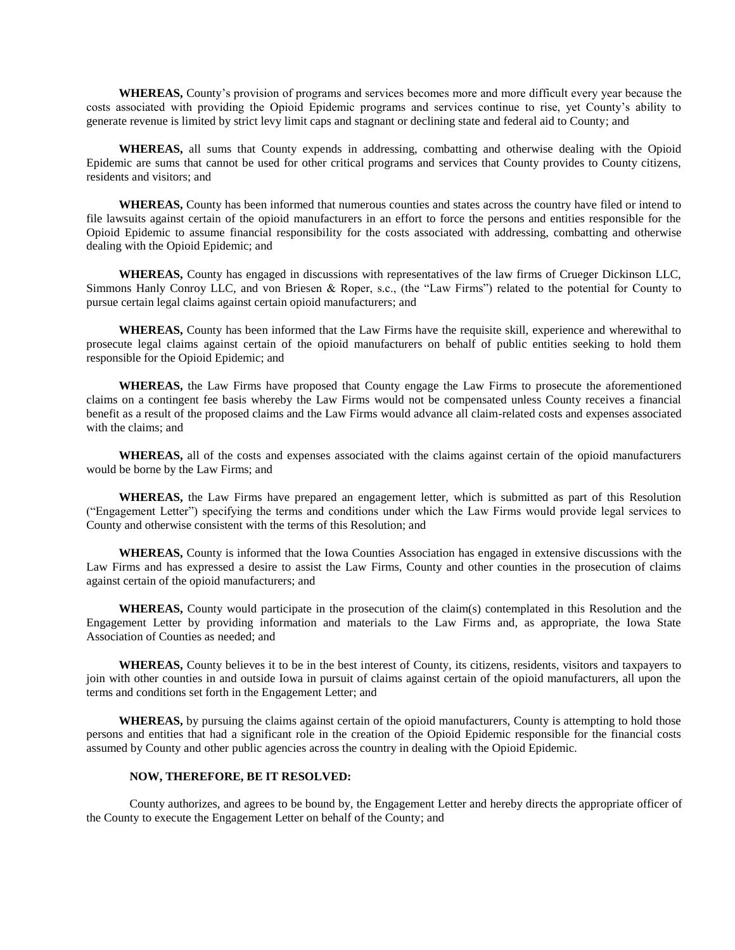**WHEREAS,** County's provision of programs and services becomes more and more difficult every year because the costs associated with providing the Opioid Epidemic programs and services continue to rise, yet County's ability to generate revenue is limited by strict levy limit caps and stagnant or declining state and federal aid to County; and

**WHEREAS,** all sums that County expends in addressing, combatting and otherwise dealing with the Opioid Epidemic are sums that cannot be used for other critical programs and services that County provides to County citizens, residents and visitors; and

**WHEREAS,** County has been informed that numerous counties and states across the country have filed or intend to file lawsuits against certain of the opioid manufacturers in an effort to force the persons and entities responsible for the Opioid Epidemic to assume financial responsibility for the costs associated with addressing, combatting and otherwise dealing with the Opioid Epidemic; and

**WHEREAS,** County has engaged in discussions with representatives of the law firms of Crueger Dickinson LLC, Simmons Hanly Conroy LLC, and von Briesen & Roper, s.c., (the "Law Firms") related to the potential for County to pursue certain legal claims against certain opioid manufacturers; and

**WHEREAS,** County has been informed that the Law Firms have the requisite skill, experience and wherewithal to prosecute legal claims against certain of the opioid manufacturers on behalf of public entities seeking to hold them responsible for the Opioid Epidemic; and

**WHEREAS,** the Law Firms have proposed that County engage the Law Firms to prosecute the aforementioned claims on a contingent fee basis whereby the Law Firms would not be compensated unless County receives a financial benefit as a result of the proposed claims and the Law Firms would advance all claim-related costs and expenses associated with the claims; and

**WHEREAS,** all of the costs and expenses associated with the claims against certain of the opioid manufacturers would be borne by the Law Firms; and

**WHEREAS,** the Law Firms have prepared an engagement letter, which is submitted as part of this Resolution ("Engagement Letter") specifying the terms and conditions under which the Law Firms would provide legal services to County and otherwise consistent with the terms of this Resolution; and

**WHEREAS,** County is informed that the Iowa Counties Association has engaged in extensive discussions with the Law Firms and has expressed a desire to assist the Law Firms, County and other counties in the prosecution of claims against certain of the opioid manufacturers; and

**WHEREAS,** County would participate in the prosecution of the claim(s) contemplated in this Resolution and the Engagement Letter by providing information and materials to the Law Firms and, as appropriate, the Iowa State Association of Counties as needed; and

**WHEREAS,** County believes it to be in the best interest of County, its citizens, residents, visitors and taxpayers to join with other counties in and outside Iowa in pursuit of claims against certain of the opioid manufacturers, all upon the terms and conditions set forth in the Engagement Letter; and

**WHEREAS,** by pursuing the claims against certain of the opioid manufacturers, County is attempting to hold those persons and entities that had a significant role in the creation of the Opioid Epidemic responsible for the financial costs assumed by County and other public agencies across the country in dealing with the Opioid Epidemic.

## **NOW, THEREFORE, BE IT RESOLVED:**

County authorizes, and agrees to be bound by, the Engagement Letter and hereby directs the appropriate officer of the County to execute the Engagement Letter on behalf of the County; and